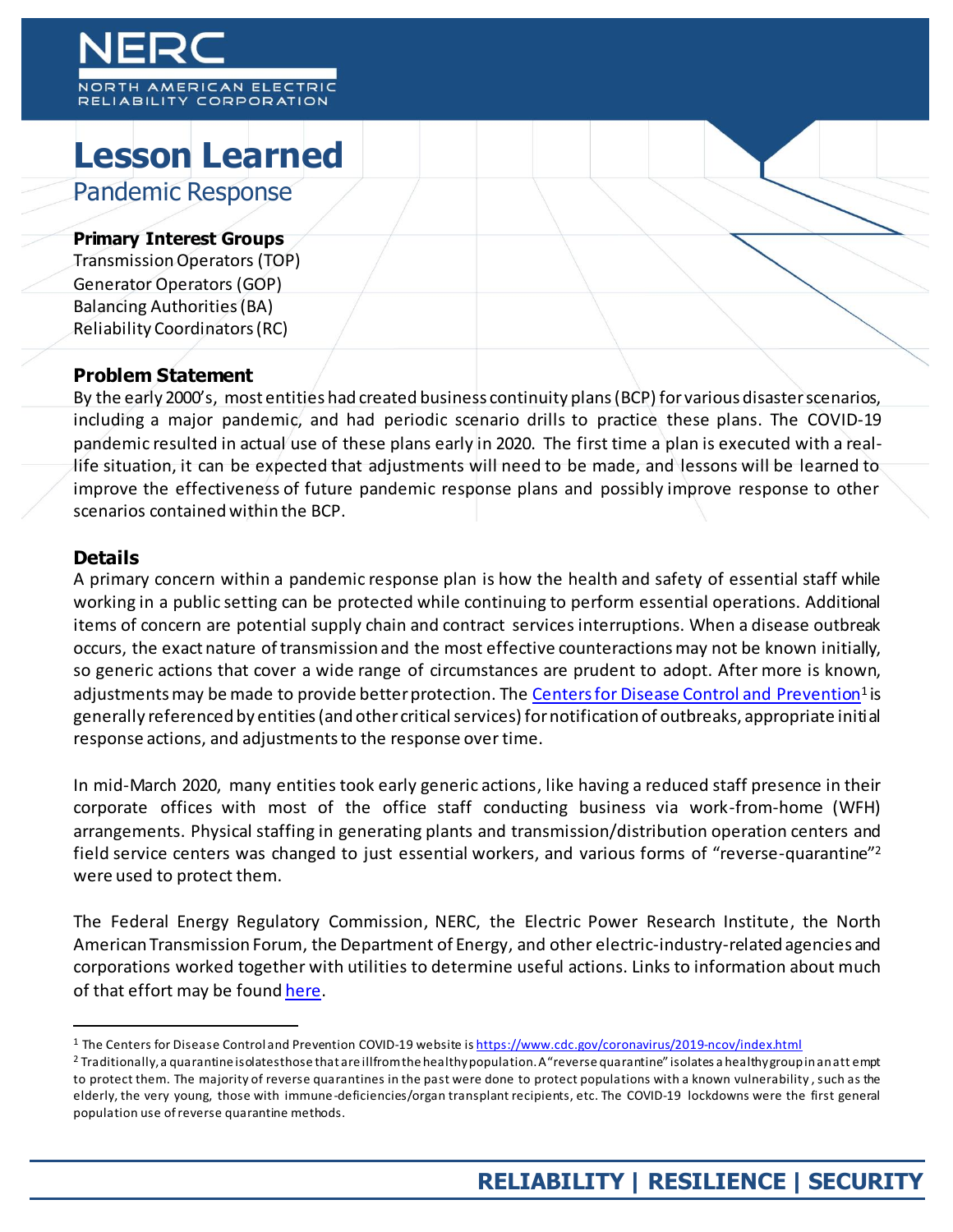# MERICAN ELECTRIC RELIABILITY CORPORATION

## **Lesson Learned**  Pandemic Response

### **Primary Interest Groups**

Transmission Operators (TOP) Generator Operators (GOP) Balancing Authorities (BA) Reliability Coordinators (RC)

## **Problem Statement**

By the early 2000's, most entities had created business continuity plans (BCP) for various disaster scenarios, including a major pandemic, and had periodic scenario drills to practice these plans. The COVID-19 pandemic resulted in actual use of these plans early in 2020. The first time a plan is executed with a reallife situation, it can be expected that adjustments will need to be made, and lessons will be learned to improve the effectiveness of future pandemic response plans and possibly improve response to other scenarios contained within the BCP.

## **Details**

l

A primary concern within a pandemic response plan is how the health and safety of essential staff while working in a public setting can be protected while continuing to perform essential operations. Additional items of concern are potential supply chain and contract services interruptions. When a disease outbreak occurs, the exact nature of transmission and the most effective counteractions may not be known initially, so generic actions that cover a wide range of circumstances are prudent to adopt. After more is known, adjustments may be made to provide better protection. The <u>Centers for Disease Control and Prevention</u><sup>1</sup> is generally referenced by entities (and other critical services) for notification of outbreaks, appropriate initial response actions, and adjustments to the response over time.

In mid-March 2020, many entities took early generic actions, like having a reduced staff presence in their corporate offices with most of the office staff conducting business via work-from-home (WFH) arrangements. Physical staffing in generating plants and transmission/distribution operation centers and field service centers was changed to just essential workers, and various forms of "reverse-quarantine"<sup>2</sup> were used to protect them.

The Federal Energy Regulatory Commission, NERC, the Electric Power Research Institute, the North American Transmission Forum, the Department of Energy, and other electric-industry-related agencies and corporations worked together with utilities to determine useful actions. Links to information about much of that effort may be foun[d here.](https://www.nerc.com/news/Pages/COVID-19.aspx)

<sup>&</sup>lt;sup>1</sup> The Centers for Disease Control and Prevention COVID-19 website i[s https://www.cdc.gov/coronavirus/2019-ncov/index.html](https://www.cdc.gov/coronavirus/2019-ncov/index.html)

<sup>&</sup>lt;sup>2</sup> Traditionally, a quarantine isolates those that are ill from the healthy population. A "reverse quarantine" isolates a healthy group in an att empt to protect them. The majority of reverse quarantines in the past were done to protect populations with a known vulnerability , such as the elderly, the very young, those with immune-deficiencies/organ transplant recipients, etc. The COVID-19 lockdowns were the first general population use of reverse quarantine methods.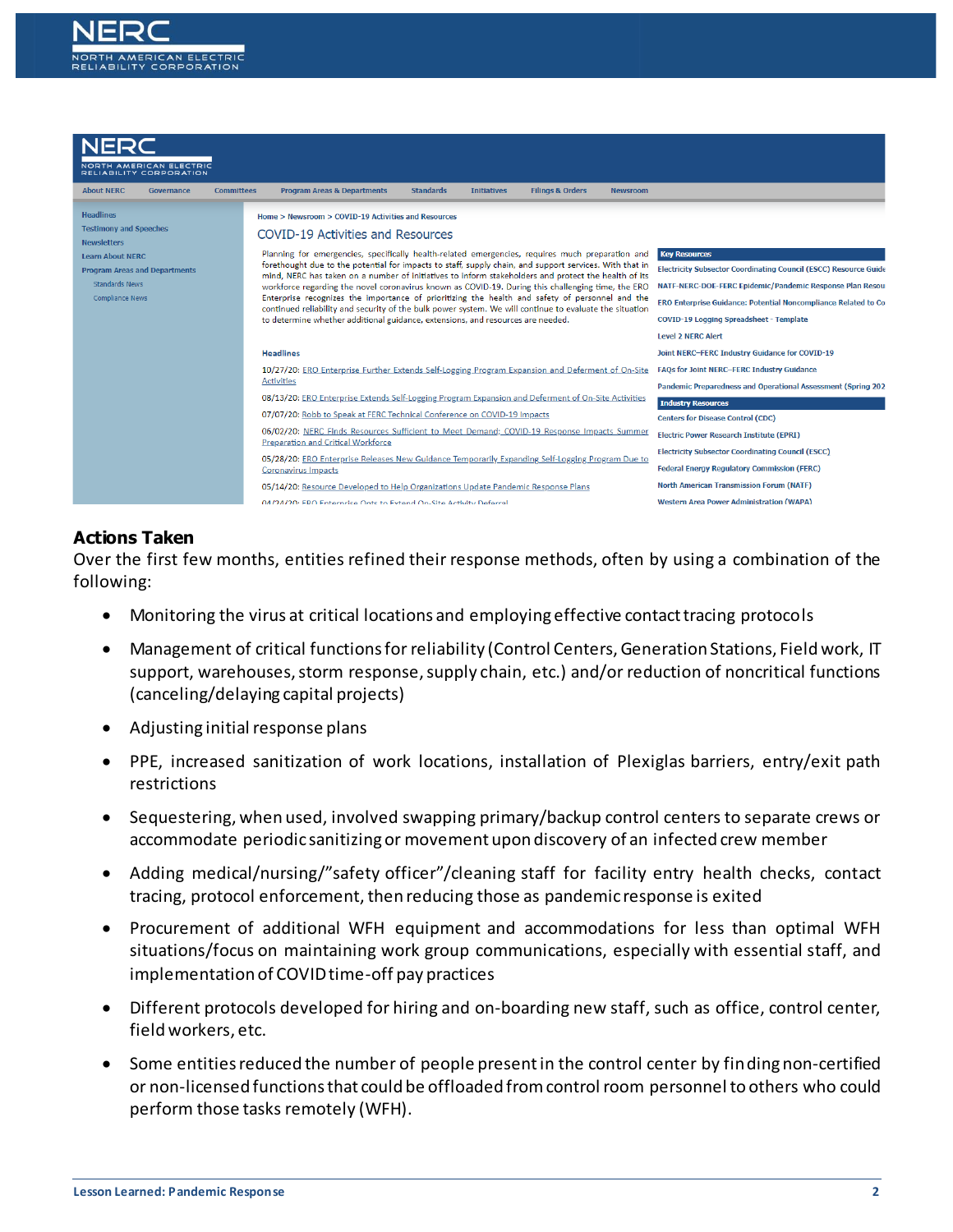



#### **Actions Taken**

Over the first few months, entities refined their response methods, often by using a combination of the following:

- Monitoring the virus at critical locations and employing effective contact tracing protocols
- Management of critical functions for reliability (Control Centers, Generation Stations, Field work, IT support, warehouses, storm response, supply chain, etc.) and/or reduction of noncritical functions (canceling/delaying capital projects)
- Adjusting initial response plans
- PPE, increased sanitization of work locations, installation of Plexiglas barriers, entry/exit path restrictions
- Sequestering, when used, involved swapping primary/backup control centers to separate crews or accommodate periodic sanitizing or movement upon discovery of an infected crew member
- Adding medical/nursing/"safety officer"/cleaning staff for facility entry health checks, contact tracing, protocol enforcement, then reducing those as pandemic response is exited
- Procurement of additional WFH equipment and accommodations for less than optimal WFH situations/focus on maintaining work group communications, especially with essential staff, and implementation of COVID time-off pay practices
- Different protocols developed for hiring and on-boarding new staff, such as office, control center, field workers, etc.
- Some entities reduced the number of people present in the control center by finding non-certified or non-licensed functions that could be offloaded from control room personnel to others who could perform those tasks remotely (WFH).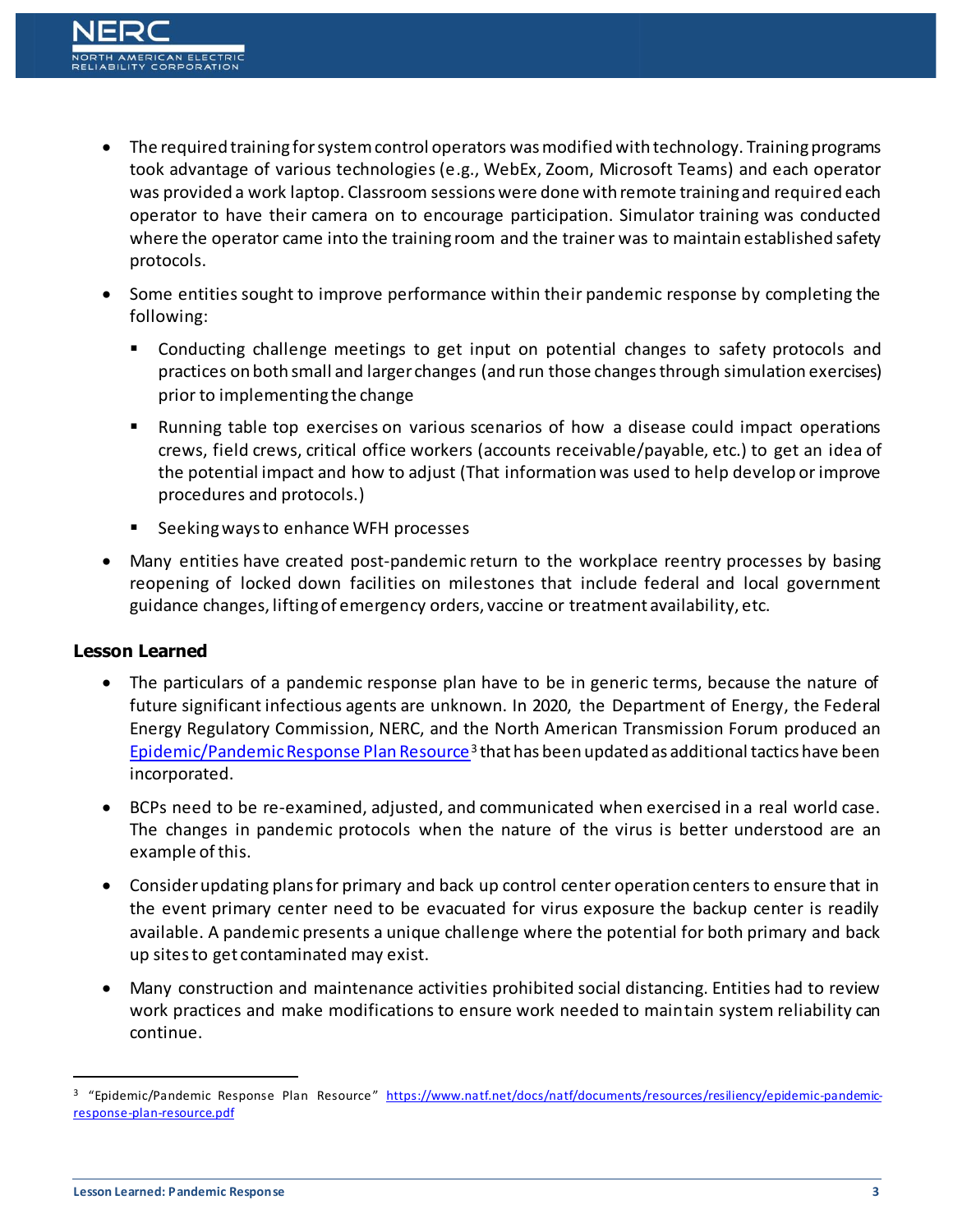- The required training for system control operators was modified with technology. Training programs took advantage of various technologies (e.g., WebEx, Zoom, Microsoft Teams) and each operator was provided a work laptop. Classroom sessions were done with remote training and required each operator to have their camera on to encourage participation. Simulator training was conducted where the operator came into the training room and the trainer was to maintain established safety protocols.
- Some entities sought to improve performance within their pandemic response by completing the following:
	- Conducting challenge meetings to get input on potential changes to safety protocols and practices on both small and larger changes (and run those changes through simulation exercises) prior to implementing the change
	- Running table top exercises on various scenarios of how a disease could impact operations crews, field crews, critical office workers (accounts receivable/payable, etc.) to get an idea of the potential impact and how to adjust (That information was used to help develop or improve procedures and protocols.)
	- Seeking ways to enhance WFH processes
- Many entities have created post-pandemic return to the workplace reentry processes by basing reopening of locked down facilities on milestones that include federal and local government guidance changes, lifting of emergency orders, vaccine or treatment availability, etc.

#### **Lesson Learned**

- The particulars of a pandemic response plan have to be in generic terms, because the nature of future significant infectious agents are unknown. In 2020, the Department of Energy, the Federal Energy Regulatory Commission, NERC, and the North American Transmission Forum produced an [Epidemic/Pandemic Response Plan Resource](https://www.natf.net/docs/natf/documents/resources/resiliency/epidemic-pandemic-response-plan-resource.pdf)<sup>3</sup> that has been updated as additional tactics have been incorporated.
- BCPs need to be re-examined, adjusted, and communicated when exercised in a real world case. The changes in pandemic protocols when the nature of the virus is better understood are an example of this.
- Consider updating plans for primary and back up control center operation centers to ensure that in the event primary center need to be evacuated for virus exposure the backup center is readily available. A pandemic presents a unique challenge where the potential for both primary and back up sites to get contaminated may exist.
- Many construction and maintenance activities prohibited social distancing. Entities had to review work practices and make modifications to ensure work needed to maintain system reliability can continue.

 $\overline{a}$ 

<sup>&</sup>lt;sup>3</sup> "Epidemic/Pandemic Response Plan Resource" [https://www.natf.net/docs/natf/documents/resources/resiliency/epidemic-pandemic](https://www.natf.net/docs/natf/documents/resources/resiliency/epidemic-pandemic-response-plan-resource.pdf)[response-plan-resource.pdf](https://www.natf.net/docs/natf/documents/resources/resiliency/epidemic-pandemic-response-plan-resource.pdf)